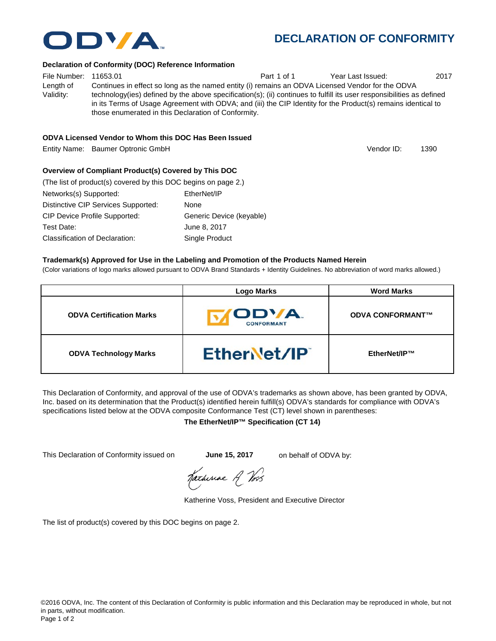## **DECLARATION OF CONFORMITY**

#### **Declaration of Conformity (DOC) Reference Information**

File Number: 11653.01 Part 1 of 1 Year Last Issued: 2017 Length of Validity: Continues in effect so long as the named entity (i) remains an ODVA Licensed Vendor for the ODVA technology(ies) defined by the above specification(s); (ii) continues to fulfill its user responsibilities as defined in its Terms of Usage Agreement with ODVA; and (iii) the CIP Identity for the Product(s) remains identical to those enumerated in this Declaration of Conformity.

## **ODVA Licensed Vendor to Whom this DOC Has Been Issued**

Entity Name: Baumer Optronic GmbH 1390 and the control of the control of the control of the control of the control of the control of the control of the control of the control of the control of the control of the control of

## **Overview of Compliant Product(s) Covered by This DOC**

| (The list of product(s) covered by this DOC begins on page 2.) |                          |
|----------------------------------------------------------------|--------------------------|
| Networks(s) Supported:                                         | EtherNet/IP              |
| Distinctive CIP Services Supported:                            | None                     |
| <b>CIP Device Profile Supported:</b>                           | Generic Device (keyable) |
| Test Date:                                                     | June 8, 2017             |
| Classification of Declaration:                                 | Single Product           |

#### **Trademark(s) Approved for Use in the Labeling and Promotion of the Products Named Herein**

(Color variations of logo marks allowed pursuant to ODVA Brand Standards + Identity Guidelines. No abbreviation of word marks allowed.)

|                                 | Logo Marks                         | <b>Word Marks</b>       |
|---------------------------------|------------------------------------|-------------------------|
| <b>ODVA Certification Marks</b> | <b>IODVA.</b><br><b>CONFORMANT</b> | <b>ODVA CONFORMANT™</b> |
| <b>ODVA Technology Marks</b>    | EtherNet/IP                        | EtherNet/IP™            |

This Declaration of Conformity, and approval of the use of ODVA's trademarks as shown above, has been granted by ODVA, Inc. based on its determination that the Product(s) identified herein fulfill(s) ODVA's standards for compliance with ODVA's specifications listed below at the ODVA composite Conformance Test (CT) level shown in parentheses:

### **The EtherNet/IP™ Specification (CT 14)**

This Declaration of Conformity issued on **June 15, 2017** on behalf of ODVA by:

Katherine A Vos

Katherine Voss, President and Executive Director

The list of product(s) covered by this DOC begins on page 2.



Vendor ID: